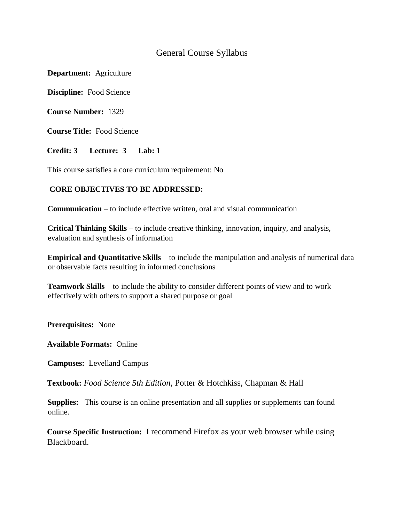# General Course Syllabus

**Department:** Agriculture

**Discipline:** Food Science

**Course Number:** 1329

**Course Title:** Food Science

**Credit: 3 Lecture: 3 Lab: 1** 

This course satisfies a core curriculum requirement: No

### **CORE OBJECTIVES TO BE ADDRESSED:**

**Communication** – to include effective written, oral and visual communication

**Critical Thinking Skills** – to include creative thinking, innovation, inquiry, and analysis, evaluation and synthesis of information

**Empirical and Quantitative Skills** – to include the manipulation and analysis of numerical data or observable facts resulting in informed conclusions

**Teamwork Skills** – to include the ability to consider different points of view and to work effectively with others to support a shared purpose or goal

**Prerequisites:** None

**Available Formats:** Online

**Campuses:** Levelland Campus

**Textbook:** *Food Science 5th Edition*, Potter & Hotchkiss, Chapman & Hall

**Supplies:** This course is an online presentation and all supplies or supplements can found online.

**Course Specific Instruction:** I recommend Firefox as your web browser while using Blackboard.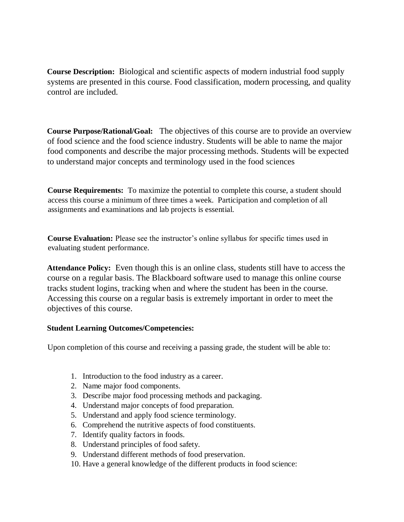**Course Description:** Biological and scientific aspects of modern industrial food supply systems are presented in this course. Food classification, modern processing, and quality control are included.

**Course Purpose/Rational/Goal:** The objectives of this course are to provide an overview of food science and the food science industry. Students will be able to name the major food components and describe the major processing methods. Students will be expected to understand major concepts and terminology used in the food sciences

**Course Requirements:** To maximize the potential to complete this course, a student should access this course a minimum of three times a week. Participation and completion of all assignments and examinations and lab projects is essential.

**Course Evaluation:** Please see the instructor's online syllabus for specific times used in evaluating student performance.

**Attendance Policy:** Even though this is an online class, students still have to access the course on a regular basis. The Blackboard software used to manage this online course tracks student logins, tracking when and where the student has been in the course. Accessing this course on a regular basis is extremely important in order to meet the objectives of this course.

## **Student Learning Outcomes/Competencies:**

Upon completion of this course and receiving a passing grade, the student will be able to:

- 1. Introduction to the food industry as a career.
- 2. Name major food components.
- 3. Describe major food processing methods and packaging.
- 4. Understand major concepts of food preparation.
- 5. Understand and apply food science terminology.
- 6. Comprehend the nutritive aspects of food constituents.
- 7. Identify quality factors in foods.
- 8. Understand principles of food safety.
- 9. Understand different methods of food preservation.
- 10. Have a general knowledge of the different products in food science: